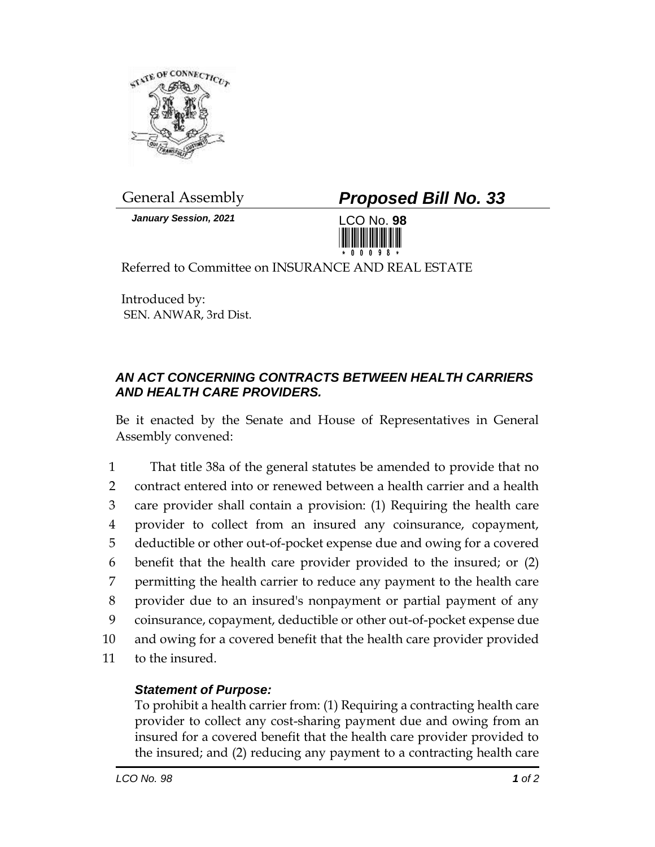

*January Session, 2021* LCO No. **98**

## General Assembly *Proposed Bill No. 33*



Referred to Committee on INSURANCE AND REAL ESTATE

Introduced by: SEN. ANWAR, 3rd Dist.

## *AN ACT CONCERNING CONTRACTS BETWEEN HEALTH CARRIERS AND HEALTH CARE PROVIDERS.*

Be it enacted by the Senate and House of Representatives in General Assembly convened:

 That title 38a of the general statutes be amended to provide that no contract entered into or renewed between a health carrier and a health care provider shall contain a provision: (1) Requiring the health care provider to collect from an insured any coinsurance, copayment, deductible or other out-of-pocket expense due and owing for a covered benefit that the health care provider provided to the insured; or (2) permitting the health carrier to reduce any payment to the health care provider due to an insured's nonpayment or partial payment of any coinsurance, copayment, deductible or other out-of-pocket expense due and owing for a covered benefit that the health care provider provided to the insured.

## *Statement of Purpose:*

To prohibit a health carrier from: (1) Requiring a contracting health care provider to collect any cost-sharing payment due and owing from an insured for a covered benefit that the health care provider provided to the insured; and (2) reducing any payment to a contracting health care